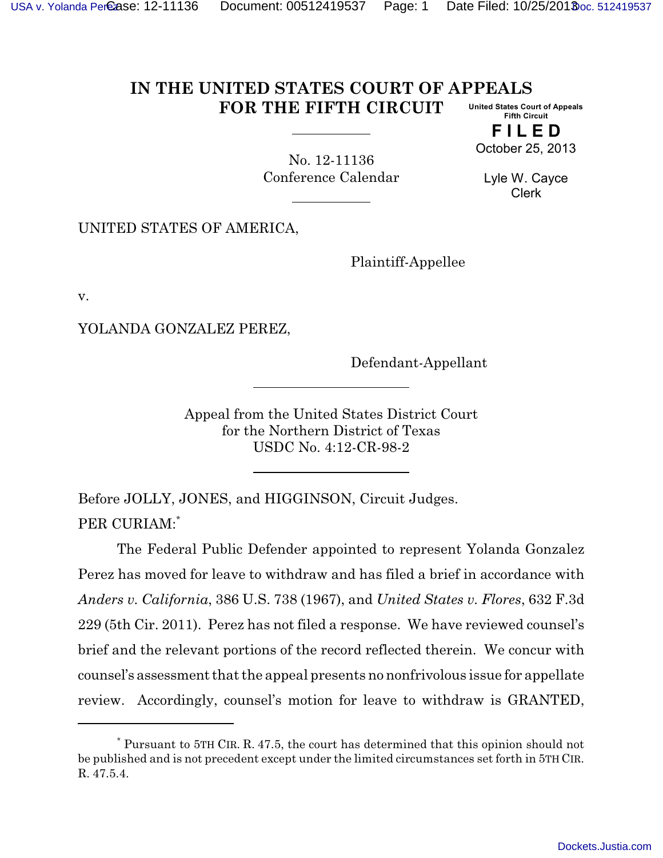## **IN THE UNITED STATES COURT OF APPEALS FOR THE FIFTH CIRCUIT United States Court of Appeals Fifth Circuit**

**F I L E D** October 25, 2013

No. 12-11136 Conference Calendar

Lyle W. Cayce Clerk

UNITED STATES OF AMERICA,

Plaintiff-Appellee

v.

YOLANDA GONZALEZ PEREZ,

Defendant-Appellant

Appeal from the United States District Court for the Northern District of Texas USDC No. 4:12-CR-98-2

Before JOLLY, JONES, and HIGGINSON, Circuit Judges. PER CURIAM:\*

The Federal Public Defender appointed to represent Yolanda Gonzalez Perez has moved for leave to withdraw and has filed a brief in accordance with *Anders v. California*, 386 U.S. 738 (1967), and *United States v. Flores*, 632 F.3d 229 (5th Cir. 2011). Perez has not filed a response. We have reviewed counsel's brief and the relevant portions of the record reflected therein. We concur with counsel's assessment that the appeal presents no nonfrivolous issue for appellate review. Accordingly, counsel's motion for leave to withdraw is GRANTED,

<sup>\*</sup> Pursuant to 5TH CIR. R. 47.5, the court has determined that this opinion should not be published and is not precedent except under the limited circumstances set forth in 5TH CIR. R. 47.5.4.